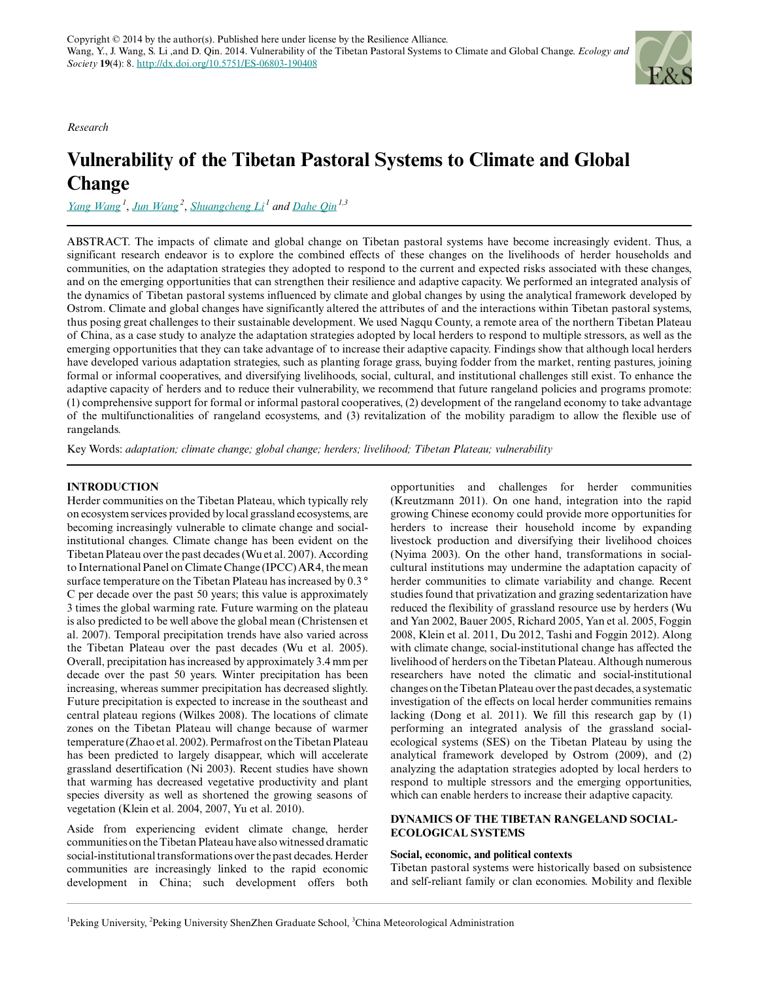*Research*



# **Vulnerability of the Tibetan Pastoral Systems to Climate and Global Change**

*[Yang Wang](mailto:iywang08@gmail.com)<sup>1</sup>* , *[Jun Wang](mailto:wangjun@pkusz.edu.cn)<sup>2</sup>* , *[Shuangcheng Li](mailto:scli@urban.pku.edu.cn)<sup>1</sup> and [Dahe Qin](mailto:qdh@cma.gov.cn) 1,3*

ABSTRACT. The impacts of climate and global change on Tibetan pastoral systems have become increasingly evident. Thus, a significant research endeavor is to explore the combined effects of these changes on the livelihoods of herder households and communities, on the adaptation strategies they adopted to respond to the current and expected risks associated with these changes, and on the emerging opportunities that can strengthen their resilience and adaptive capacity. We performed an integrated analysis of the dynamics of Tibetan pastoral systems influenced by climate and global changes by using the analytical framework developed by Ostrom. Climate and global changes have significantly altered the attributes of and the interactions within Tibetan pastoral systems, thus posing great challenges to their sustainable development. We used Nagqu County, a remote area of the northern Tibetan Plateau of China, as a case study to analyze the adaptation strategies adopted by local herders to respond to multiple stressors, as well as the emerging opportunities that they can take advantage of to increase their adaptive capacity. Findings show that although local herders have developed various adaptation strategies, such as planting forage grass, buying fodder from the market, renting pastures, joining formal or informal cooperatives, and diversifying livelihoods, social, cultural, and institutional challenges still exist. To enhance the adaptive capacity of herders and to reduce their vulnerability, we recommend that future rangeland policies and programs promote: (1) comprehensive support for formal or informal pastoral cooperatives, (2) development of the rangeland economy to take advantage of the multifunctionalities of rangeland ecosystems, and (3) revitalization of the mobility paradigm to allow the flexible use of rangelands.

Key Words: *adaptation; climate change; global change; herders; livelihood; Tibetan Plateau; vulnerability*

# **INTRODUCTION**

Herder communities on the Tibetan Plateau, which typically rely on ecosystem services provided by local grassland ecosystems, are becoming increasingly vulnerable to climate change and socialinstitutional changes. Climate change has been evident on the Tibetan Plateau over the past decades (Wu et al. 2007). According to International Panel on Climate Change (IPCC) AR4, the mean surface temperature on the Tibetan Plateau has increased by 0.3 ° C per decade over the past 50 years; this value is approximately 3 times the global warming rate. Future warming on the plateau is also predicted to be well above the global mean (Christensen et al. 2007). Temporal precipitation trends have also varied across the Tibetan Plateau over the past decades (Wu et al. 2005). Overall, precipitation has increased by approximately 3.4 mm per decade over the past 50 years. Winter precipitation has been increasing, whereas summer precipitation has decreased slightly. Future precipitation is expected to increase in the southeast and central plateau regions (Wilkes 2008). The locations of climate zones on the Tibetan Plateau will change because of warmer temperature (Zhao et al. 2002). Permafrost on the Tibetan Plateau has been predicted to largely disappear, which will accelerate grassland desertification (Ni 2003). Recent studies have shown that warming has decreased vegetative productivity and plant species diversity as well as shortened the growing seasons of vegetation (Klein et al. 2004, 2007, Yu et al. 2010).

Aside from experiencing evident climate change, herder communities on the Tibetan Plateau have also witnessed dramatic social-institutional transformations over the past decades. Herder communities are increasingly linked to the rapid economic development in China; such development offers both opportunities and challenges for herder communities (Kreutzmann 2011). On one hand, integration into the rapid growing Chinese economy could provide more opportunities for herders to increase their household income by expanding livestock production and diversifying their livelihood choices (Nyima 2003). On the other hand, transformations in socialcultural institutions may undermine the adaptation capacity of herder communities to climate variability and change. Recent studies found that privatization and grazing sedentarization have reduced the flexibility of grassland resource use by herders (Wu and Yan 2002, Bauer 2005, Richard 2005, Yan et al. 2005, Foggin 2008, Klein et al. 2011, Du 2012, Tashi and Foggin 2012). Along with climate change, social-institutional change has affected the livelihood of herders on the Tibetan Plateau. Although numerous researchers have noted the climatic and social-institutional changes on the Tibetan Plateau over the past decades, a systematic investigation of the effects on local herder communities remains lacking (Dong et al. 2011). We fill this research gap by (1) performing an integrated analysis of the grassland socialecological systems (SES) on the Tibetan Plateau by using the analytical framework developed by Ostrom (2009), and (2) analyzing the adaptation strategies adopted by local herders to respond to multiple stressors and the emerging opportunities, which can enable herders to increase their adaptive capacity.

# **DYNAMICS OF THE TIBETAN RANGELAND SOCIAL-ECOLOGICAL SYSTEMS**

# **Social, economic, and political contexts**

Tibetan pastoral systems were historically based on subsistence and self-reliant family or clan economies. Mobility and flexible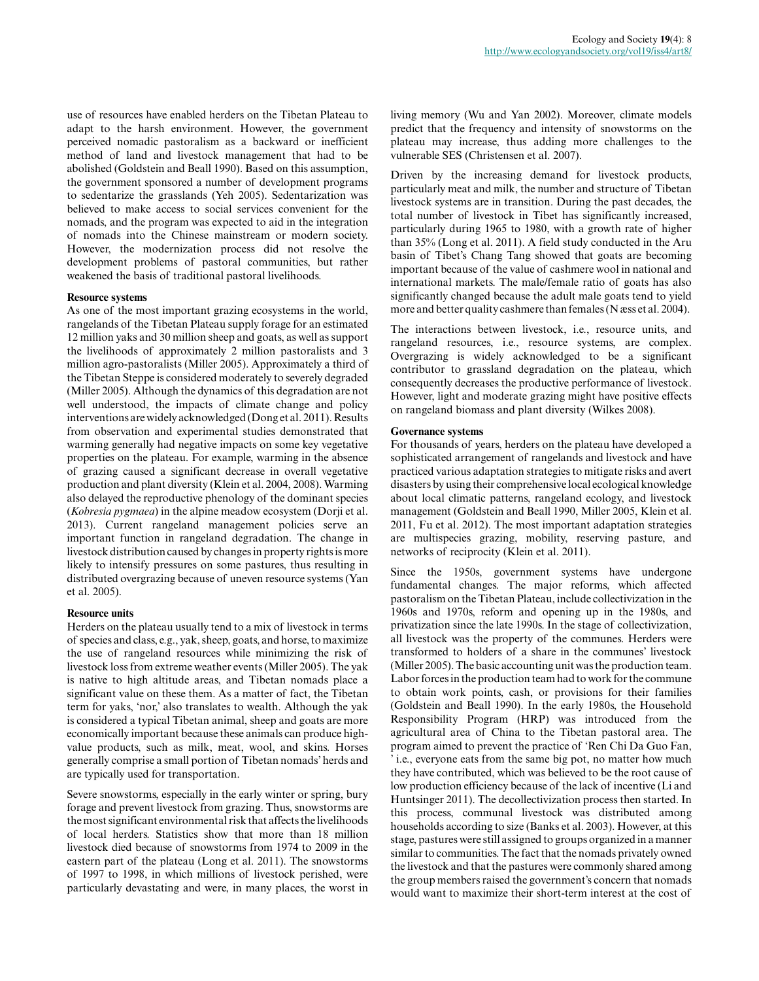use of resources have enabled herders on the Tibetan Plateau to adapt to the harsh environment. However, the government perceived nomadic pastoralism as a backward or inefficient method of land and livestock management that had to be abolished (Goldstein and Beall 1990). Based on this assumption, the government sponsored a number of development programs to sedentarize the grasslands (Yeh 2005). Sedentarization was believed to make access to social services convenient for the nomads, and the program was expected to aid in the integration of nomads into the Chinese mainstream or modern society. However, the modernization process did not resolve the development problems of pastoral communities, but rather weakened the basis of traditional pastoral livelihoods.

## **Resource systems**

As one of the most important grazing ecosystems in the world, rangelands of the Tibetan Plateau supply forage for an estimated 12 million yaks and 30 million sheep and goats, as well as support the livelihoods of approximately 2 million pastoralists and 3 million agro-pastoralists (Miller 2005). Approximately a third of the Tibetan Steppe is considered moderately to severely degraded (Miller 2005). Although the dynamics of this degradation are not well understood, the impacts of climate change and policy interventions are widely acknowledged (Dong et al. 2011). Results from observation and experimental studies demonstrated that warming generally had negative impacts on some key vegetative properties on the plateau. For example, warming in the absence of grazing caused a significant decrease in overall vegetative production and plant diversity (Klein et al. 2004, 2008). Warming also delayed the reproductive phenology of the dominant species (*Kobresia pygmaea*) in the alpine meadow ecosystem (Dorji et al. 2013). Current rangeland management policies serve an important function in rangeland degradation. The change in livestock distribution caused by changes in property rights is more likely to intensify pressures on some pastures, thus resulting in distributed overgrazing because of uneven resource systems (Yan et al. 2005).

## **Resource units**

Herders on the plateau usually tend to a mix of livestock in terms of species and class, e.g., yak, sheep, goats, and horse, to maximize the use of rangeland resources while minimizing the risk of livestock loss from extreme weather events (Miller 2005). The yak is native to high altitude areas, and Tibetan nomads place a significant value on these them. As a matter of fact, the Tibetan term for yaks, 'nor,' also translates to wealth. Although the yak is considered a typical Tibetan animal, sheep and goats are more economically important because these animals can produce highvalue products, such as milk, meat, wool, and skins. Horses generally comprise a small portion of Tibetan nomads' herds and are typically used for transportation.

Severe snowstorms, especially in the early winter or spring, bury forage and prevent livestock from grazing. Thus, snowstorms are the most significant environmental risk that affects the livelihoods of local herders. Statistics show that more than 18 million livestock died because of snowstorms from 1974 to 2009 in the eastern part of the plateau (Long et al. 2011). The snowstorms of 1997 to 1998, in which millions of livestock perished, were particularly devastating and were, in many places, the worst in living memory (Wu and Yan 2002). Moreover, climate models predict that the frequency and intensity of snowstorms on the plateau may increase, thus adding more challenges to the vulnerable SES (Christensen et al. 2007).

Driven by the increasing demand for livestock products, particularly meat and milk, the number and structure of Tibetan livestock systems are in transition. During the past decades, the total number of livestock in Tibet has significantly increased, particularly during 1965 to 1980, with a growth rate of higher than 35% (Long et al. 2011). A field study conducted in the Aru basin of Tibet's Chang Tang showed that goats are becoming important because of the value of cashmere wool in national and international markets. The male/female ratio of goats has also significantly changed because the adult male goats tend to yield more and better quality cashmere than females (N æss et al. 2004).

The interactions between livestock, i.e., resource units, and rangeland resources, i.e., resource systems, are complex. Overgrazing is widely acknowledged to be a significant contributor to grassland degradation on the plateau, which consequently decreases the productive performance of livestock. However, light and moderate grazing might have positive effects on rangeland biomass and plant diversity (Wilkes 2008).

# **Governance systems**

For thousands of years, herders on the plateau have developed a sophisticated arrangement of rangelands and livestock and have practiced various adaptation strategies to mitigate risks and avert disasters by using their comprehensive local ecological knowledge about local climatic patterns, rangeland ecology, and livestock management (Goldstein and Beall 1990, Miller 2005, Klein et al. 2011, Fu et al. 2012). The most important adaptation strategies are multispecies grazing, mobility, reserving pasture, and networks of reciprocity (Klein et al. 2011).

Since the 1950s, government systems have undergone fundamental changes. The major reforms, which affected pastoralism on the Tibetan Plateau, include collectivization in the 1960s and 1970s, reform and opening up in the 1980s, and privatization since the late 1990s. In the stage of collectivization, all livestock was the property of the communes. Herders were transformed to holders of a share in the communes' livestock (Miller 2005). The basic accounting unit was the production team. Labor forces in the production team had to work for the commune to obtain work points, cash, or provisions for their families (Goldstein and Beall 1990). In the early 1980s, the Household Responsibility Program (HRP) was introduced from the agricultural area of China to the Tibetan pastoral area. The program aimed to prevent the practice of 'Ren Chi Da Guo Fan, ' i.e., everyone eats from the same big pot, no matter how much they have contributed, which was believed to be the root cause of low production efficiency because of the lack of incentive (Li and Huntsinger 2011). The decollectivization process then started. In this process, communal livestock was distributed among households according to size (Banks et al. 2003). However, at this stage, pastures were still assigned to groups organized in a manner similar to communities. The fact that the nomads privately owned the livestock and that the pastures were commonly shared among the group members raised the government's concern that nomads would want to maximize their short-term interest at the cost of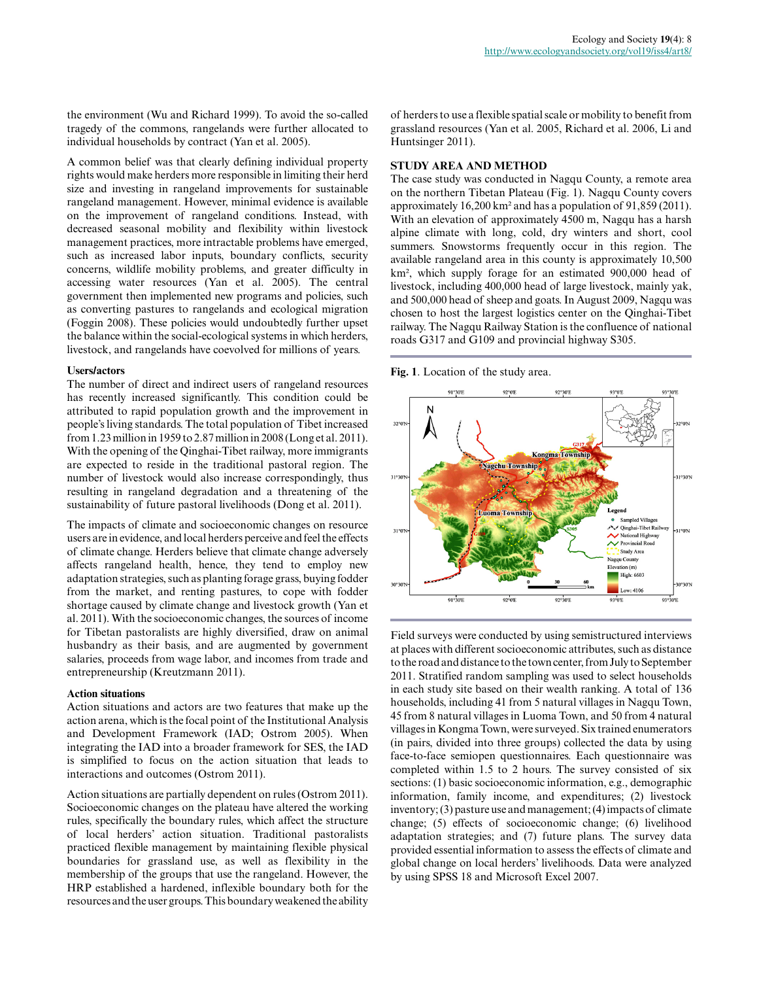the environment (Wu and Richard 1999). To avoid the so-called tragedy of the commons, rangelands were further allocated to individual households by contract (Yan et al. 2005).

A common belief was that clearly defining individual property rights would make herders more responsible in limiting their herd size and investing in rangeland improvements for sustainable rangeland management. However, minimal evidence is available on the improvement of rangeland conditions. Instead, with decreased seasonal mobility and flexibility within livestock management practices, more intractable problems have emerged, such as increased labor inputs, boundary conflicts, security concerns, wildlife mobility problems, and greater difficulty in accessing water resources (Yan et al. 2005). The central government then implemented new programs and policies, such as converting pastures to rangelands and ecological migration (Foggin 2008). These policies would undoubtedly further upset the balance within the social-ecological systems in which herders, livestock, and rangelands have coevolved for millions of years.

#### **Users/actors**

The number of direct and indirect users of rangeland resources has recently increased significantly. This condition could be attributed to rapid population growth and the improvement in people's living standards. The total population of Tibet increased from 1.23 million in 1959 to 2.87 million in 2008 (Long et al. 2011). With the opening of the Oinghai-Tibet railway, more immigrants are expected to reside in the traditional pastoral region. The number of livestock would also increase correspondingly, thus resulting in rangeland degradation and a threatening of the sustainability of future pastoral livelihoods (Dong et al. 2011).

The impacts of climate and socioeconomic changes on resource users are in evidence, and local herders perceive and feel the effects of climate change. Herders believe that climate change adversely affects rangeland health, hence, they tend to employ new adaptation strategies, such as planting forage grass, buying fodder from the market, and renting pastures, to cope with fodder shortage caused by climate change and livestock growth (Yan et al. 2011). With the socioeconomic changes, the sources of income for Tibetan pastoralists are highly diversified, draw on animal husbandry as their basis, and are augmented by government salaries, proceeds from wage labor, and incomes from trade and entrepreneurship (Kreutzmann 2011).

## **Action situations**

Action situations and actors are two features that make up the action arena, which is the focal point of the Institutional Analysis and Development Framework (IAD; Ostrom 2005). When integrating the IAD into a broader framework for SES, the IAD is simplified to focus on the action situation that leads to interactions and outcomes (Ostrom 2011).

Action situations are partially dependent on rules (Ostrom 2011). Socioeconomic changes on the plateau have altered the working rules, specifically the boundary rules, which affect the structure of local herders' action situation. Traditional pastoralists practiced flexible management by maintaining flexible physical boundaries for grassland use, as well as flexibility in the membership of the groups that use the rangeland. However, the HRP established a hardened, inflexible boundary both for the resources and the user groups. This boundary weakened the ability of herders to use a flexible spatial scale or mobility to benefit from grassland resources (Yan et al. 2005, Richard et al. 2006, Li and Huntsinger 2011).

#### **STUDY AREA AND METHOD**

The case study was conducted in Nagqu County, a remote area on the northern Tibetan Plateau (Fig. 1). Nagqu County covers approximately 16,200 km² and has a population of 91,859 (2011). With an elevation of approximately 4500 m, Nagqu has a harsh alpine climate with long, cold, dry winters and short, cool summers. Snowstorms frequently occur in this region. The available rangeland area in this county is approximately 10,500 km², which supply forage for an estimated 900,000 head of livestock, including 400,000 head of large livestock, mainly yak, and 500,000 head of sheep and goats. In August 2009, Nagqu was chosen to host the largest logistics center on the Qinghai-Tibet railway. The Nagqu Railway Station is the confluence of national roads G317 and G109 and provincial highway S305.

**Fig. 1**. Location of the study area.



Field surveys were conducted by using semistructured interviews at places with different socioeconomic attributes, such as distance to the road and distance to the town center, from July to September 2011. Stratified random sampling was used to select households in each study site based on their wealth ranking. A total of 136 households, including 41 from 5 natural villages in Nagqu Town, 45 from 8 natural villages in Luoma Town, and 50 from 4 natural villages in Kongma Town, were surveyed. Six trained enumerators (in pairs, divided into three groups) collected the data by using face-to-face semiopen questionnaires. Each questionnaire was completed within 1.5 to 2 hours. The survey consisted of six sections: (1) basic socioeconomic information, e.g., demographic information, family income, and expenditures; (2) livestock inventory; (3) pasture use and management; (4) impacts of climate change; (5) effects of socioeconomic change; (6) livelihood adaptation strategies; and (7) future plans. The survey data provided essential information to assess the effects of climate and global change on local herders' livelihoods. Data were analyzed by using SPSS 18 and Microsoft Excel 2007.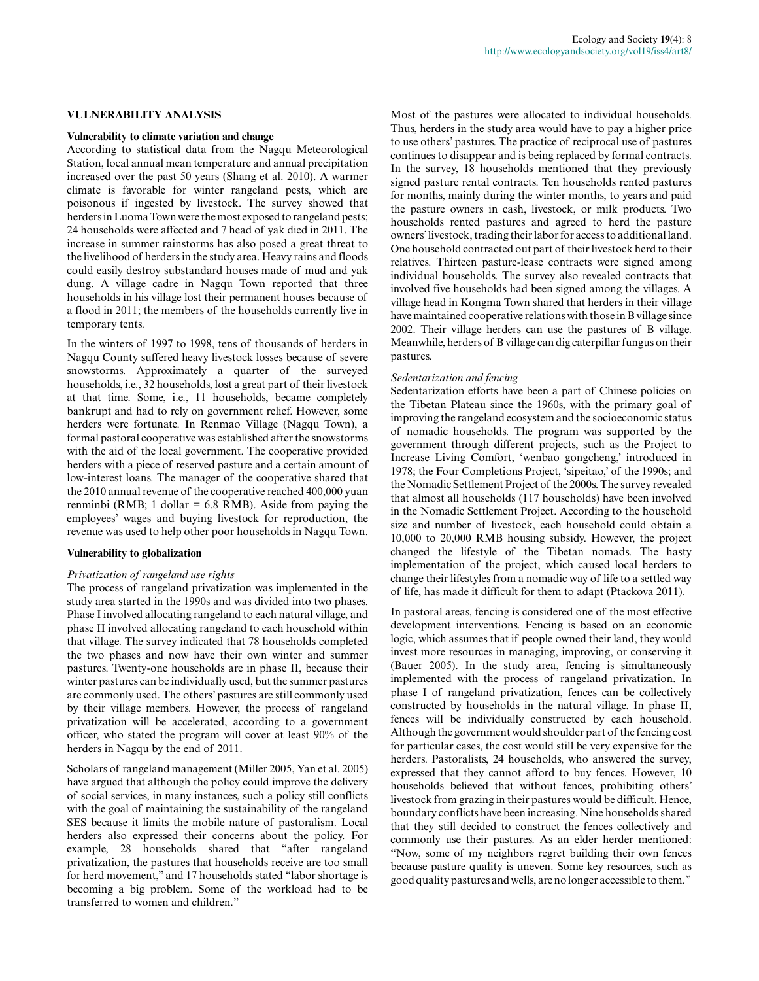## **VULNERABILITY ANALYSIS**

#### **Vulnerability to climate variation and change**

According to statistical data from the Nagqu Meteorological Station, local annual mean temperature and annual precipitation increased over the past 50 years (Shang et al. 2010). A warmer climate is favorable for winter rangeland pests, which are poisonous if ingested by livestock. The survey showed that herders in Luoma Town were the most exposed to rangeland pests; 24 households were affected and 7 head of yak died in 2011. The increase in summer rainstorms has also posed a great threat to the livelihood of herders in the study area. Heavy rains and floods could easily destroy substandard houses made of mud and yak dung. A village cadre in Nagqu Town reported that three households in his village lost their permanent houses because of a flood in 2011; the members of the households currently live in temporary tents.

In the winters of 1997 to 1998, tens of thousands of herders in Nagqu County suffered heavy livestock losses because of severe snowstorms. Approximately a quarter of the surveyed households, i.e., 32 households, lost a great part of their livestock at that time. Some, i.e., 11 households, became completely bankrupt and had to rely on government relief. However, some herders were fortunate. In Renmao Village (Nagqu Town), a formal pastoral cooperative was established after the snowstorms with the aid of the local government. The cooperative provided herders with a piece of reserved pasture and a certain amount of low-interest loans. The manager of the cooperative shared that the 2010 annual revenue of the cooperative reached 400,000 yuan renminbi (RMB; 1 dollar  $= 6.8$  RMB). Aside from paying the employees' wages and buying livestock for reproduction, the revenue was used to help other poor households in Nagqu Town.

# **Vulnerability to globalization**

#### *Privatization of rangeland use rights*

The process of rangeland privatization was implemented in the study area started in the 1990s and was divided into two phases. Phase I involved allocating rangeland to each natural village, and phase II involved allocating rangeland to each household within that village. The survey indicated that 78 households completed the two phases and now have their own winter and summer pastures. Twenty-one households are in phase II, because their winter pastures can be individually used, but the summer pastures are commonly used. The others' pastures are still commonly used by their village members. However, the process of rangeland privatization will be accelerated, according to a government officer, who stated the program will cover at least 90% of the herders in Nagqu by the end of 2011.

Scholars of rangeland management (Miller 2005, Yan et al. 2005) have argued that although the policy could improve the delivery of social services, in many instances, such a policy still conflicts with the goal of maintaining the sustainability of the rangeland SES because it limits the mobile nature of pastoralism. Local herders also expressed their concerns about the policy. For example, 28 households shared that "after rangeland privatization, the pastures that households receive are too small for herd movement," and 17 households stated "labor shortage is becoming a big problem. Some of the workload had to be transferred to women and children."

Most of the pastures were allocated to individual households. Thus, herders in the study area would have to pay a higher price to use others' pastures. The practice of reciprocal use of pastures continues to disappear and is being replaced by formal contracts. In the survey, 18 households mentioned that they previously signed pasture rental contracts. Ten households rented pastures for months, mainly during the winter months, to years and paid the pasture owners in cash, livestock, or milk products. Two households rented pastures and agreed to herd the pasture owners' livestock, trading their labor for access to additional land. One household contracted out part of their livestock herd to their relatives. Thirteen pasture-lease contracts were signed among individual households. The survey also revealed contracts that involved five households had been signed among the villages. A village head in Kongma Town shared that herders in their village have maintained cooperative relations with those in B village since 2002. Their village herders can use the pastures of B village. Meanwhile, herders of B village can dig caterpillar fungus on their pastures.

#### *Sedentarization and fencing*

Sedentarization efforts have been a part of Chinese policies on the Tibetan Plateau since the 1960s, with the primary goal of improving the rangeland ecosystem and the socioeconomic status of nomadic households. The program was supported by the government through different projects, such as the Project to Increase Living Comfort, 'wenbao gongcheng,' introduced in 1978; the Four Completions Project, 'sipeitao,' of the 1990s; and the Nomadic Settlement Project of the 2000s. The survey revealed that almost all households (117 households) have been involved in the Nomadic Settlement Project. According to the household size and number of livestock, each household could obtain a 10,000 to 20,000 RMB housing subsidy. However, the project changed the lifestyle of the Tibetan nomads. The hasty implementation of the project, which caused local herders to change their lifestyles from a nomadic way of life to a settled way of life, has made it difficult for them to adapt (Ptackova 2011).

In pastoral areas, fencing is considered one of the most effective development interventions. Fencing is based on an economic logic, which assumes that if people owned their land, they would invest more resources in managing, improving, or conserving it (Bauer 2005). In the study area, fencing is simultaneously implemented with the process of rangeland privatization. In phase I of rangeland privatization, fences can be collectively constructed by households in the natural village. In phase II, fences will be individually constructed by each household. Although the government would shoulder part of the fencing cost for particular cases, the cost would still be very expensive for the herders. Pastoralists, 24 households, who answered the survey, expressed that they cannot afford to buy fences. However, 10 households believed that without fences, prohibiting others' livestock from grazing in their pastures would be difficult. Hence, boundary conflicts have been increasing. Nine households shared that they still decided to construct the fences collectively and commonly use their pastures. As an elder herder mentioned: "Now, some of my neighbors regret building their own fences because pasture quality is uneven. Some key resources, such as good quality pastures and wells, are no longer accessible to them."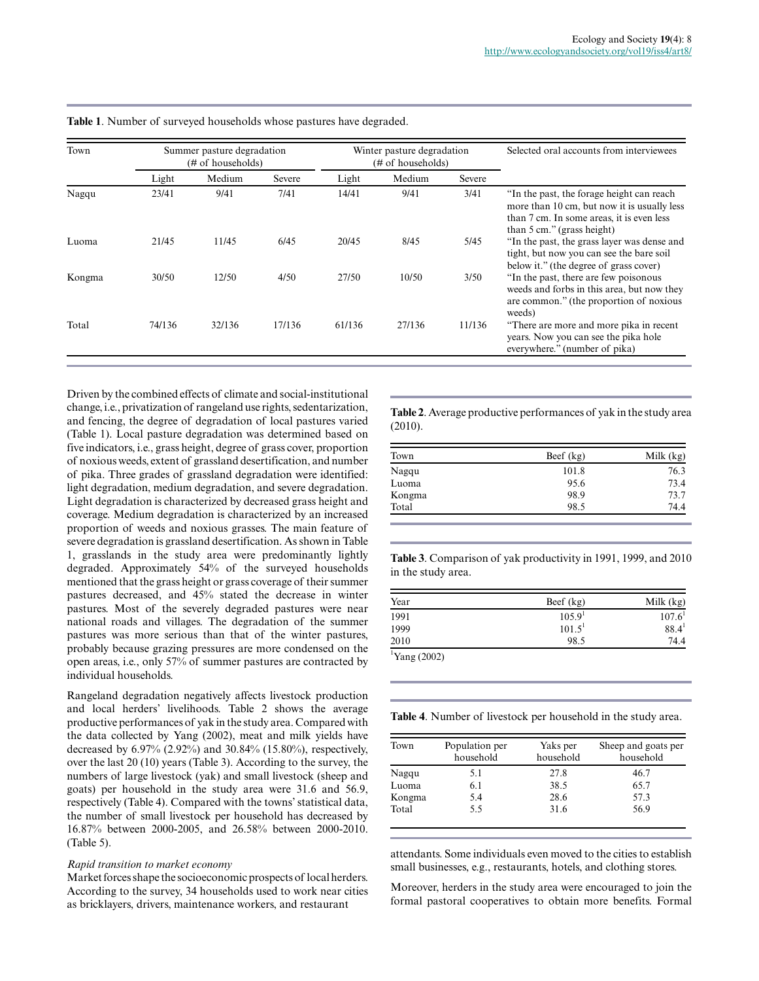| Town   |        | Summer pasture degradation<br>$(\# \text{ of households})$ |        | Winter pasture degradation<br>$(\# \text{ of households})$ |        |        | Selected oral accounts from interviewees                                                                                                                            |
|--------|--------|------------------------------------------------------------|--------|------------------------------------------------------------|--------|--------|---------------------------------------------------------------------------------------------------------------------------------------------------------------------|
|        | Light  | Medium                                                     | Severe | Light                                                      | Medium | Severe |                                                                                                                                                                     |
| Nagqu  | 23/41  | 9/41                                                       | 7/41   | 14/41                                                      | 9/41   | 3/41   | "In the past, the forage height can reach<br>more than 10 cm, but now it is usually less<br>than 7 cm. In some areas, it is even less<br>than 5 cm." (grass height) |
| Luoma  | 21/45  | 11/45                                                      | 6/45   | 20/45                                                      | 8/45   | 5/45   | "In the past, the grass layer was dense and<br>tight, but now you can see the bare soil<br>below it." (the degree of grass cover)                                   |
| Kongma | 30/50  | 12/50                                                      | 4/50   | 27/50                                                      | 10/50  | 3/50   | "In the past, there are few poisonous"<br>weeds and forbs in this area, but now they<br>are common." (the proportion of noxious<br>weeds)                           |
| Total  | 74/136 | 32/136                                                     | 17/136 | 61/136                                                     | 27/136 | 11/136 | "There are more and more pika in recent"<br>years. Now you can see the pika hole<br>everywhere." (number of pika)                                                   |

**Table 1**. Number of surveyed households whose pastures have degraded.

Driven by the combined effects of climate and social-institutional change, i.e., privatization of rangeland use rights, sedentarization, and fencing, the degree of degradation of local pastures varied (Table 1). Local pasture degradation was determined based on five indicators, i.e., grass height, degree of grass cover, proportion of noxious weeds, extent of grassland desertification, and number of pika. Three grades of grassland degradation were identified: light degradation, medium degradation, and severe degradation. Light degradation is characterized by decreased grass height and coverage. Medium degradation is characterized by an increased proportion of weeds and noxious grasses. The main feature of severe degradation is grassland desertification. As shown in Table 1, grasslands in the study area were predominantly lightly degraded. Approximately 54% of the surveyed households mentioned that the grass height or grass coverage of their summer pastures decreased, and 45% stated the decrease in winter pastures. Most of the severely degraded pastures were near national roads and villages. The degradation of the summer pastures was more serious than that of the winter pastures, probably because grazing pressures are more condensed on the open areas, i.e., only 57% of summer pastures are contracted by individual households.

Rangeland degradation negatively affects livestock production and local herders' livelihoods. Table 2 shows the average productive performances of yak in the study area. Compared with the data collected by Yang (2002), meat and milk yields have decreased by 6.97% (2.92%) and 30.84% (15.80%), respectively, over the last 20 (10) years (Table 3). According to the survey, the numbers of large livestock (yak) and small livestock (sheep and goats) per household in the study area were 31.6 and 56.9, respectively (Table 4). Compared with the towns' statistical data, the number of small livestock per household has decreased by 16.87% between 2000-2005, and 26.58% between 2000-2010. (Table 5).

# *Rapid transition to market economy*

Market forces shape the socioeconomic prospects of local herders. According to the survey, 34 households used to work near cities as bricklayers, drivers, maintenance workers, and restaurant

**Table 2**. Average productive performances of yak in the study area (2010).

| Town   | Beef $(kg)$ | Milk $(kg)$ |
|--------|-------------|-------------|
| Nagqu  | 101.8       | 76.3        |
| Luoma  | 95.6        | 73.4        |
| Kongma | 98.9        | 73.7        |
| Total  | 98.5        | 74.4        |

**Table 3**. Comparison of yak productivity in 1991, 1999, and 2010 in the study area.

| Year | Beef $(kg)$        | Milk $(kg)$     |
|------|--------------------|-----------------|
| 1991 | 105.9 <sup>1</sup> | $107.6^{\circ}$ |
| 1999 | $101.5^1$          | $88.4^1$        |
| 2010 | 98.5               | 74.4            |

<sup>1</sup>Yang (2002)

**Table 4**. Number of livestock per household in the study area.

| Town   | Population per<br>household | Yaks per<br>household | Sheep and goats per<br>household |
|--------|-----------------------------|-----------------------|----------------------------------|
| Nagqu  | 5.1                         | 27.8                  | 46.7                             |
| Luoma  | 6.1                         | 38.5                  | 65.7                             |
| Kongma | 5.4                         | 28.6                  | 57.3                             |
| Total  | 5.5                         | 31.6                  | 56.9                             |

attendants. Some individuals even moved to the cities to establish small businesses, e.g., restaurants, hotels, and clothing stores.

Moreover, herders in the study area were encouraged to join the formal pastoral cooperatives to obtain more benefits. Formal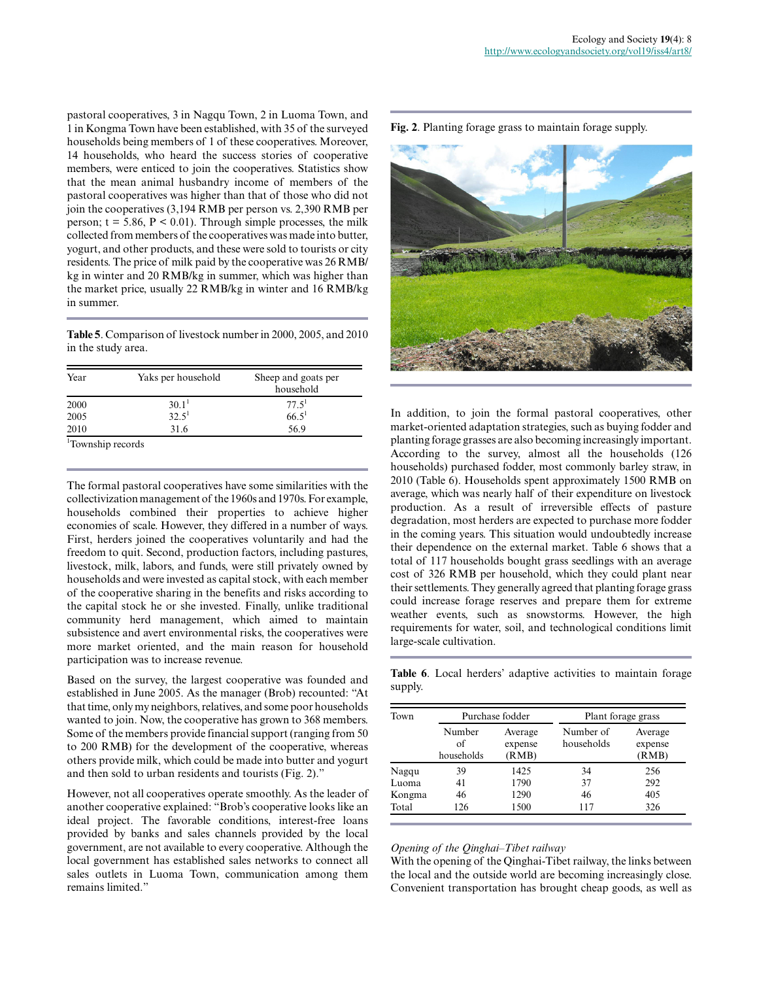pastoral cooperatives, 3 in Nagqu Town, 2 in Luoma Town, and 1 in Kongma Town have been established, with 35 of the surveyed households being members of 1 of these cooperatives. Moreover, 14 households, who heard the success stories of cooperative members, were enticed to join the cooperatives. Statistics show that the mean animal husbandry income of members of the pastoral cooperatives was higher than that of those who did not join the cooperatives (3,194 RMB per person vs. 2,390 RMB per person;  $t = 5.86$ ,  $P < 0.01$ ). Through simple processes, the milk collected from members of the cooperatives was made into butter, yogurt, and other products, and these were sold to tourists or city residents. The price of milk paid by the cooperative was 26 RMB/ kg in winter and 20 RMB/kg in summer, which was higher than the market price, usually 22 RMB/kg in winter and 16 RMB/kg in summer.

**Table 5**. Comparison of livestock number in 2000, 2005, and 2010 in the study area.

| Year | Yaks per household | Sheep and goats per<br>household |
|------|--------------------|----------------------------------|
| 2000 | 30.1 <sup>1</sup>  | $77.5^1$                         |
| 2005 | $32.5^1$           | $66.5^1$                         |
| 2010 | 31.6               | 56.9                             |

l'ownship records

The formal pastoral cooperatives have some similarities with the collectivization management of the 1960s and 1970s. For example, households combined their properties to achieve higher economies of scale. However, they differed in a number of ways. First, herders joined the cooperatives voluntarily and had the freedom to quit. Second, production factors, including pastures, livestock, milk, labors, and funds, were still privately owned by households and were invested as capital stock, with each member of the cooperative sharing in the benefits and risks according to the capital stock he or she invested. Finally, unlike traditional community herd management, which aimed to maintain subsistence and avert environmental risks, the cooperatives were more market oriented, and the main reason for household participation was to increase revenue.

Based on the survey, the largest cooperative was founded and established in June 2005. As the manager (Brob) recounted: "At that time, only my neighbors, relatives, and some poor households wanted to join. Now, the cooperative has grown to 368 members. Some of the members provide financial support (ranging from 50 to 200 RMB) for the development of the cooperative, whereas others provide milk, which could be made into butter and yogurt and then sold to urban residents and tourists (Fig. 2)."

However, not all cooperatives operate smoothly. As the leader of another cooperative explained: "Brob's cooperative looks like an ideal project. The favorable conditions, interest-free loans provided by banks and sales channels provided by the local government, are not available to every cooperative. Although the local government has established sales networks to connect all sales outlets in Luoma Town, communication among them remains limited."

**Fig. 2**. Planting forage grass to maintain forage supply.



In addition, to join the formal pastoral cooperatives, other market-oriented adaptation strategies, such as buying fodder and planting forage grasses are also becoming increasingly important. According to the survey, almost all the households (126 households) purchased fodder, most commonly barley straw, in 2010 (Table 6). Households spent approximately 1500 RMB on average, which was nearly half of their expenditure on livestock production. As a result of irreversible effects of pasture degradation, most herders are expected to purchase more fodder in the coming years. This situation would undoubtedly increase their dependence on the external market. Table 6 shows that a total of 117 households bought grass seedlings with an average cost of 326 RMB per household, which they could plant near their settlements. They generally agreed that planting forage grass could increase forage reserves and prepare them for extreme weather events, such as snowstorms. However, the high requirements for water, soil, and technological conditions limit large-scale cultivation.

**Table 6**. Local herders' adaptive activities to maintain forage supply.

| Town   | Purchase fodder            |                             | Plant forage grass      |                             |
|--------|----------------------------|-----------------------------|-------------------------|-----------------------------|
|        | Number<br>of<br>households | Average<br>expense<br>(RMB) | Number of<br>households | Average<br>expense<br>(RMB) |
| Nagqu  | 39                         | 1425                        | 34                      | 256                         |
| Luoma  | 41                         | 1790                        | 37                      | 292                         |
| Kongma | 46                         | 1290                        | 46                      | 405                         |
| Total  | 126                        | 1500                        | 117                     | 326                         |

# *Opening of the Qinghai–Tibet railway*

With the opening of the Qinghai-Tibet railway, the links between the local and the outside world are becoming increasingly close. Convenient transportation has brought cheap goods, as well as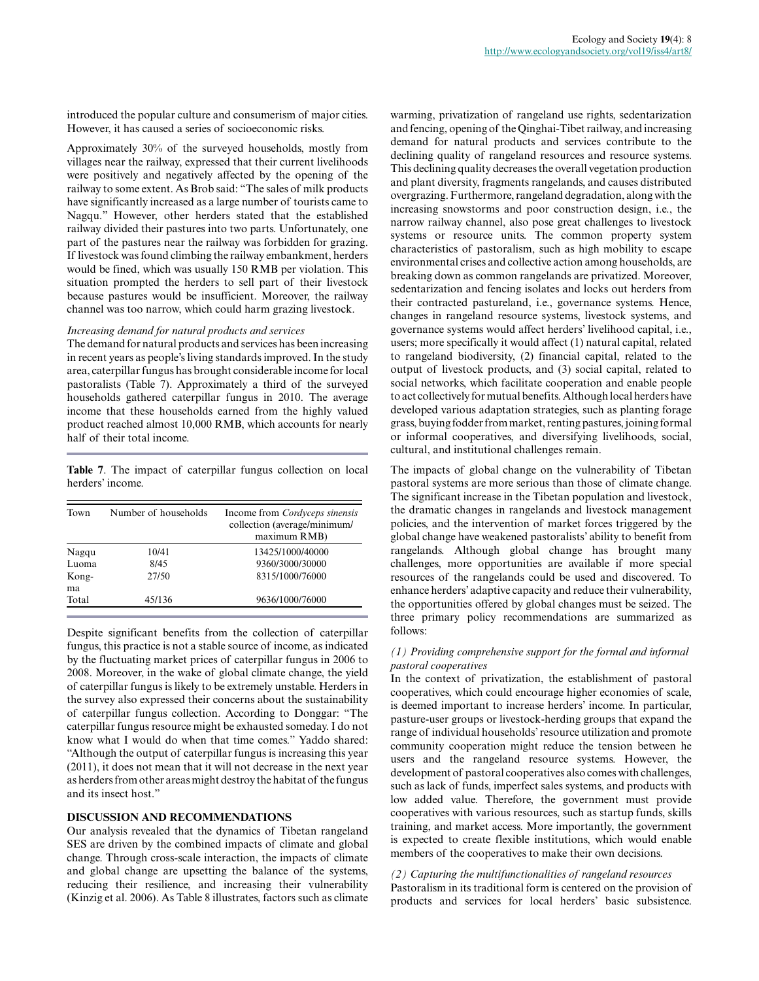introduced the popular culture and consumerism of major cities. However, it has caused a series of socioeconomic risks.

Approximately 30% of the surveyed households, mostly from villages near the railway, expressed that their current livelihoods were positively and negatively affected by the opening of the railway to some extent. As Brob said: "The sales of milk products have significantly increased as a large number of tourists came to Nagqu." However, other herders stated that the established railway divided their pastures into two parts. Unfortunately, one part of the pastures near the railway was forbidden for grazing. If livestock was found climbing the railway embankment, herders would be fined, which was usually 150 RMB per violation. This situation prompted the herders to sell part of their livestock because pastures would be insufficient. Moreover, the railway channel was too narrow, which could harm grazing livestock.

# *Increasing demand for natural products and services*

The demand for natural products and services has been increasing in recent years as people's living standards improved. In the study area, caterpillar fungus has brought considerable income for local pastoralists (Table 7). Approximately a third of the surveyed households gathered caterpillar fungus in 2010. The average income that these households earned from the highly valued product reached almost 10,000 RMB, which accounts for nearly half of their total income.

**Table 7**. The impact of caterpillar fungus collection on local herders' income.

| Town  | Number of households | Income from <i>Cordyceps sinensis</i><br>collection (average/minimum/<br>maximum RMB) |
|-------|----------------------|---------------------------------------------------------------------------------------|
| Nagqu | 10/41                | 13425/1000/40000                                                                      |
| Luoma | 8/45                 | 9360/3000/30000                                                                       |
| Kong- | 27/50                | 8315/1000/76000                                                                       |
| ma.   |                      |                                                                                       |
| Total | 45/136               | 9636/1000/76000                                                                       |

Despite significant benefits from the collection of caterpillar fungus, this practice is not a stable source of income, as indicated by the fluctuating market prices of caterpillar fungus in 2006 to 2008. Moreover, in the wake of global climate change, the yield of caterpillar fungus is likely to be extremely unstable. Herders in the survey also expressed their concerns about the sustainability of caterpillar fungus collection. According to Donggar: "The caterpillar fungus resource might be exhausted someday. I do not know what I would do when that time comes." Yaddo shared: "Although the output of caterpillar fungus is increasing this year (2011), it does not mean that it will not decrease in the next year as herders from other areas might destroy the habitat of the fungus and its insect host."

# **DISCUSSION AND RECOMMENDATIONS**

Our analysis revealed that the dynamics of Tibetan rangeland SES are driven by the combined impacts of climate and global change. Through cross-scale interaction, the impacts of climate and global change are upsetting the balance of the systems, reducing their resilience, and increasing their vulnerability (Kinzig et al. 2006). As Table 8 illustrates, factors such as climate warming, privatization of rangeland use rights, sedentarization and fencing, opening of the Qinghai-Tibet railway, and increasing demand for natural products and services contribute to the declining quality of rangeland resources and resource systems. This declining quality decreases the overall vegetation production and plant diversity, fragments rangelands, and causes distributed overgrazing. Furthermore, rangeland degradation, along with the increasing snowstorms and poor construction design, i.e., the narrow railway channel, also pose great challenges to livestock systems or resource units. The common property system characteristics of pastoralism, such as high mobility to escape environmental crises and collective action among households, are breaking down as common rangelands are privatized. Moreover, sedentarization and fencing isolates and locks out herders from their contracted pastureland, i.e., governance systems. Hence, changes in rangeland resource systems, livestock systems, and governance systems would affect herders' livelihood capital, i.e., users; more specifically it would affect (1) natural capital, related to rangeland biodiversity, (2) financial capital, related to the output of livestock products, and (3) social capital, related to social networks, which facilitate cooperation and enable people to act collectively for mutual benefits. Although local herders have developed various adaptation strategies, such as planting forage grass, buying fodder from market, renting pastures, joining formal or informal cooperatives, and diversifying livelihoods, social, cultural, and institutional challenges remain.

The impacts of global change on the vulnerability of Tibetan pastoral systems are more serious than those of climate change. The significant increase in the Tibetan population and livestock, the dramatic changes in rangelands and livestock management policies, and the intervention of market forces triggered by the global change have weakened pastoralists' ability to benefit from rangelands. Although global change has brought many challenges, more opportunities are available if more special resources of the rangelands could be used and discovered. To enhance herders' adaptive capacity and reduce their vulnerability, the opportunities offered by global changes must be seized. The three primary policy recommendations are summarized as follows:

# *(1) Providing comprehensive support for the formal and informal pastoral cooperatives*

In the context of privatization, the establishment of pastoral cooperatives, which could encourage higher economies of scale, is deemed important to increase herders' income. In particular, pasture-user groups or livestock-herding groups that expand the range of individual households' resource utilization and promote community cooperation might reduce the tension between he users and the rangeland resource systems. However, the development of pastoral cooperatives also comes with challenges, such as lack of funds, imperfect sales systems, and products with low added value. Therefore, the government must provide cooperatives with various resources, such as startup funds, skills training, and market access. More importantly, the government is expected to create flexible institutions, which would enable members of the cooperatives to make their own decisions.

## *(2) Capturing the multifunctionalities of rangeland resources* Pastoralism in its traditional form is centered on the provision of products and services for local herders' basic subsistence.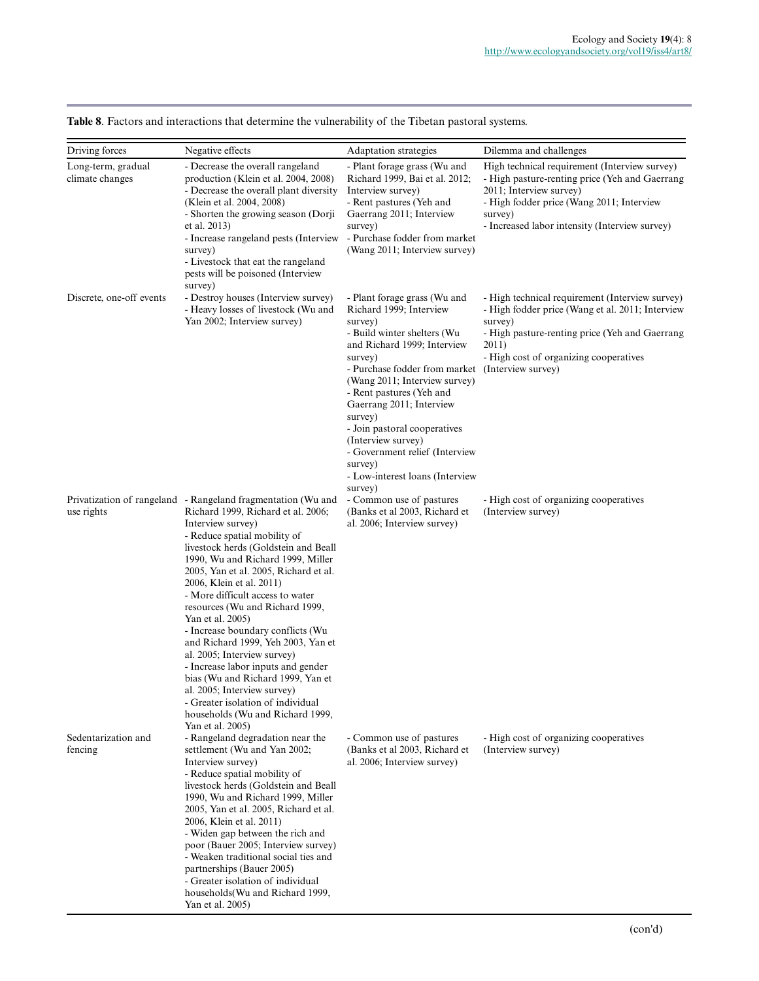| Driving forces                        | Negative effects                                                                                                                                                                                                                                                                                                                                                                                                                                                                                                                                                                                                                                                                                  | Adaptation strategies                                                                                                                                                                                                                                                                                                                                                                                                                                | Dilemma and challenges                                                                                                                                                                                                               |
|---------------------------------------|---------------------------------------------------------------------------------------------------------------------------------------------------------------------------------------------------------------------------------------------------------------------------------------------------------------------------------------------------------------------------------------------------------------------------------------------------------------------------------------------------------------------------------------------------------------------------------------------------------------------------------------------------------------------------------------------------|------------------------------------------------------------------------------------------------------------------------------------------------------------------------------------------------------------------------------------------------------------------------------------------------------------------------------------------------------------------------------------------------------------------------------------------------------|--------------------------------------------------------------------------------------------------------------------------------------------------------------------------------------------------------------------------------------|
| Long-term, gradual<br>climate changes | - Decrease the overall rangeland<br>production (Klein et al. 2004, 2008)<br>- Decrease the overall plant diversity<br>(Klein et al. 2004, 2008)<br>- Shorten the growing season (Dorji<br>et al. 2013)<br>- Increase rangeland pests (Interview<br>survey)<br>- Livestock that eat the rangeland<br>pests will be poisoned (Interview<br>survey)                                                                                                                                                                                                                                                                                                                                                  | - Plant forage grass (Wu and<br>Richard 1999, Bai et al. 2012;<br>Interview survey)<br>- Rent pastures (Yeh and<br>Gaerrang 2011; Interview<br>survey)<br>- Purchase fodder from market<br>(Wang 2011; Interview survey)                                                                                                                                                                                                                             | High technical requirement (Interview survey)<br>- High pasture-renting price (Yeh and Gaerrang<br>2011; Interview survey)<br>- High fodder price (Wang 2011; Interview<br>survey)<br>- Increased labor intensity (Interview survey) |
| Discrete, one-off events              | - Destroy houses (Interview survey)<br>- Heavy losses of livestock (Wu and<br>Yan 2002; Interview survey)                                                                                                                                                                                                                                                                                                                                                                                                                                                                                                                                                                                         | - Plant forage grass (Wu and<br>Richard 1999; Interview<br>survey)<br>- Build winter shelters (Wu<br>and Richard 1999; Interview<br>survey)<br>- Purchase fodder from market (Interview survey)<br>(Wang 2011; Interview survey)<br>- Rent pastures (Yeh and<br>Gaerrang 2011; Interview<br>survey)<br>- Join pastoral cooperatives<br>(Interview survey)<br>- Government relief (Interview<br>survey)<br>- Low-interest loans (Interview<br>survey) | - High technical requirement (Interview survey)<br>- High fodder price (Wang et al. 2011; Interview<br>survey)<br>- High pasture-renting price (Yeh and Gaerrang<br>2011)<br>- High cost of organizing cooperatives                  |
| use rights                            | Privatization of rangeland - Rangeland fragmentation (Wu and<br>Richard 1999, Richard et al. 2006;<br>Interview survey)<br>- Reduce spatial mobility of<br>livestock herds (Goldstein and Beall<br>1990, Wu and Richard 1999, Miller<br>2005, Yan et al. 2005, Richard et al.<br>2006, Klein et al. 2011)<br>- More difficult access to water<br>resources (Wu and Richard 1999,<br>Yan et al. 2005)<br>- Increase boundary conflicts (Wu<br>and Richard 1999, Yeh 2003, Yan et<br>al. 2005; Interview survey)<br>- Increase labor inputs and gender<br>bias (Wu and Richard 1999, Yan et<br>al. 2005; Interview survey)<br>- Greater isolation of individual<br>households (Wu and Richard 1999, | - Common use of pastures<br>(Banks et al 2003, Richard et<br>al. 2006; Interview survey)                                                                                                                                                                                                                                                                                                                                                             | - High cost of organizing cooperatives<br>(Interview survey)                                                                                                                                                                         |
| Sedentarization and<br>fencing        | Yan et al. 2005)<br>- Rangeland degradation near the<br>settlement (Wu and Yan 2002;<br>Interview survey)<br>- Reduce spatial mobility of<br>livestock herds (Goldstein and Beall<br>1990, Wu and Richard 1999, Miller<br>2005, Yan et al. 2005, Richard et al.<br>2006, Klein et al. 2011)<br>- Widen gap between the rich and<br>poor (Bauer 2005; Interview survey)<br>- Weaken traditional social ties and<br>partnerships (Bauer 2005)<br>- Greater isolation of individual<br>households (Wu and Richard 1999,<br>Yan et al. 2005)                                                                                                                                                          | - Common use of pastures<br>(Banks et al 2003, Richard et<br>al. 2006; Interview survey)                                                                                                                                                                                                                                                                                                                                                             | - High cost of organizing cooperatives<br>(Interview survey)                                                                                                                                                                         |

**Table 8**. Factors and interactions that determine the vulnerability of the Tibetan pastoral systems.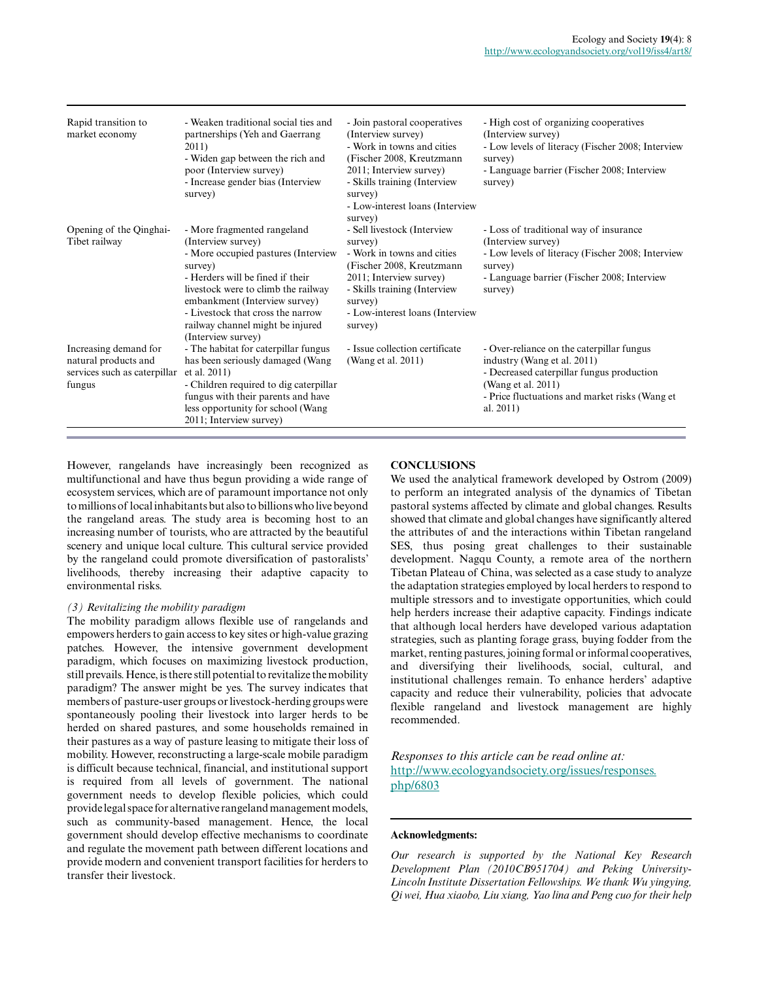| Rapid transition to<br>market economy                                                   | - Weaken traditional social ties and<br>partnerships (Yeh and Gaerrang<br>2011)<br>- Widen gap between the rich and<br>poor (Interview survey)<br>- Increase gender bias (Interview)<br>survey)                                                                                                                 | - Join pastoral cooperatives<br>(Interview survey)<br>- Work in towns and cities<br>(Fischer 2008, Kreutzmann)<br>2011; Interview survey)<br>- Skills training (Interview)<br>survey)<br>- Low-interest loans (Interview<br>survey) | - High cost of organizing cooperatives<br>(Interview survey)<br>- Low levels of literacy (Fischer 2008; Interview<br>survey)<br>- Language barrier (Fischer 2008; Interview<br>survey)                      |
|-----------------------------------------------------------------------------------------|-----------------------------------------------------------------------------------------------------------------------------------------------------------------------------------------------------------------------------------------------------------------------------------------------------------------|-------------------------------------------------------------------------------------------------------------------------------------------------------------------------------------------------------------------------------------|-------------------------------------------------------------------------------------------------------------------------------------------------------------------------------------------------------------|
| Opening of the Qinghai-<br>Tibet railway                                                | - More fragmented rangeland<br>(Interview survey)<br>- More occupied pastures (Interview)<br>survey)<br>- Herders will be fined if their<br>livestock were to climb the railway<br>embankment (Interview survey)<br>- Livestock that cross the narrow<br>railway channel might be injured<br>(Interview survey) | - Sell livestock (Interview)<br>survey)<br>- Work in towns and cities<br>(Fischer 2008, Kreutzmann)<br>2011; Interview survey)<br>- Skills training (Interview)<br>survey)<br>- Low-interest loans (Interview)<br>survey)           | - Loss of traditional way of insurance<br>(Interview survey)<br>- Low levels of literacy (Fischer 2008; Interview<br>survey)<br>- Language barrier (Fischer 2008; Interview<br>survey)                      |
| Increasing demand for<br>natural products and<br>services such as caterpillar<br>fungus | - The habitat for caterpillar fungus<br>has been seriously damaged (Wang<br>et al. $2011$ )<br>- Children required to dig caterpillar<br>fungus with their parents and have<br>less opportunity for school (Wang<br>2011; Interview survey)                                                                     | - Issue collection certificate<br>(Wang et al. 2011)                                                                                                                                                                                | - Over-reliance on the caterpillar fungus<br>industry (Wang et al. 2011)<br>- Decreased caterpillar fungus production<br>(Wang et al. 2011)<br>- Price fluctuations and market risks (Wang et)<br>al. 2011) |

However, rangelands have increasingly been recognized as multifunctional and have thus begun providing a wide range of ecosystem services, which are of paramount importance not only to millions of local inhabitants but also to billions who live beyond the rangeland areas. The study area is becoming host to an increasing number of tourists, who are attracted by the beautiful scenery and unique local culture. This cultural service provided by the rangeland could promote diversification of pastoralists' livelihoods, thereby increasing their adaptive capacity to environmental risks.

# *(3) Revitalizing the mobility paradigm*

The mobility paradigm allows flexible use of rangelands and empowers herders to gain access to key sites or high-value grazing patches. However, the intensive government development paradigm, which focuses on maximizing livestock production, still prevails. Hence, is there still potential to revitalize the mobility paradigm? The answer might be yes. The survey indicates that members of pasture-user groups or livestock-herding groups were spontaneously pooling their livestock into larger herds to be herded on shared pastures, and some households remained in their pastures as a way of pasture leasing to mitigate their loss of mobility. However, reconstructing a large-scale mobile paradigm is difficult because technical, financial, and institutional support is required from all levels of government. The national government needs to develop flexible policies, which could provide legal space for alternative rangeland management models, such as community-based management. Hence, the local government should develop effective mechanisms to coordinate and regulate the movement path between different locations and provide modern and convenient transport facilities for herders to transfer their livestock.

# **CONCLUSIONS**

We used the analytical framework developed by Ostrom (2009) to perform an integrated analysis of the dynamics of Tibetan pastoral systems affected by climate and global changes. Results showed that climate and global changes have significantly altered the attributes of and the interactions within Tibetan rangeland SES, thus posing great challenges to their sustainable development. Nagqu County, a remote area of the northern Tibetan Plateau of China, was selected as a case study to analyze the adaptation strategies employed by local herders to respond to multiple stressors and to investigate opportunities, which could help herders increase their adaptive capacity. Findings indicate that although local herders have developed various adaptation strategies, such as planting forage grass, buying fodder from the market, renting pastures, joining formal or informal cooperatives, and diversifying their livelihoods, social, cultural, and institutional challenges remain. To enhance herders' adaptive capacity and reduce their vulnerability, policies that advocate flexible rangeland and livestock management are highly recommended.

*Responses to this article can be read online at:* [http://www.ecologyandsociety.org/issues/responses.](http://www.ecologyandsociety.org/issues/responses.php/6803) [php/6803](http://www.ecologyandsociety.org/issues/responses.php/6803)

# **Acknowledgments:**

*Our research is supported by the National Key Research Development Plan (2010CB951704) and Peking University-Lincoln Institute Dissertation Fellowships. We thank Wu yingying, Qi wei, Hua xiaobo, Liu xiang, Yao lina and Peng cuo for their help*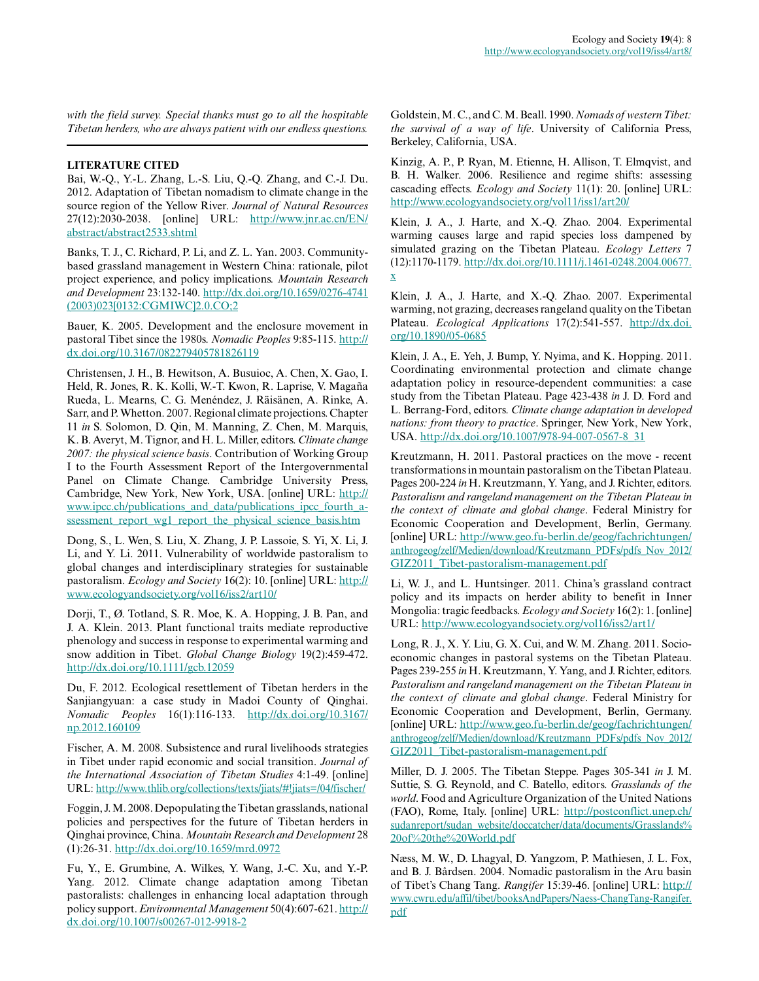*with the field survey. Special thanks must go to all the hospitable Tibetan herders, who are always patient with our endless questions.*

# **LITERATURE CITED**

Bai, W.-Q., Y.-L. Zhang, L.-S. Liu, Q.-Q. Zhang, and C.-J. Du. 2012. Adaptation of Tibetan nomadism to climate change in the source region of the Yellow River. *Journal of Natural Resources* 27(12):2030-2038. [online] URL: [http://www.jnr.ac.cn/EN/](http://www.jnr.ac.cn/EN/abstract/abstract2533.shtml) [abstract/abstract2533.shtml](http://www.jnr.ac.cn/EN/abstract/abstract2533.shtml)

Banks, T. J., C. Richard, P. Li, and Z. L. Yan. 2003. Communitybased grassland management in Western China: rationale, pilot project experience, and policy implications. *Mountain Research and Development* 23:132-140. [http://dx.doi.org/10.1659/0276-4741](http://dx.doi.org/10.1659%2F0276-4741%282003%29023%5B0132%3ACGMIWC%5D2.0.CO%3B2) [\(2003\)023\[0132:CGMIWC\]2.0.CO;2](http://dx.doi.org/10.1659%2F0276-4741%282003%29023%5B0132%3ACGMIWC%5D2.0.CO%3B2)

Bauer, K. 2005. Development and the enclosure movement in pastoral Tibet since the 1980s. *Nomadic Peoples* 9:85-115. [http://](http://dx.doi.org/10.3167%2F082279405781826119) [dx.doi.org/10.3167/082279405781826119](http://dx.doi.org/10.3167%2F082279405781826119)

Christensen, J. H., B. Hewitson, A. Busuioc, A. Chen, X. Gao, I. Held, R. Jones, R. K. Kolli, W.-T. Kwon, R. Laprise, V. Magaña Rueda, L. Mearns, C. G. Menéndez, J. Räisänen, A. Rinke, A. Sarr, and P. Whetton. 2007. Regional climate projections. Chapter 11 *in* S. Solomon, D. Qin, M. Manning, Z. Chen, M. Marquis, K. B. Averyt, M. Tignor, and H. L. Miller, editors. *Climate change 2007: the physical science basis*. Contribution of Working Group I to the Fourth Assessment Report of the Intergovernmental Panel on Climate Change. Cambridge University Press, Cambridge, New York, New York, USA. [online] URL: [http://](http://www.ipcc.ch/publications_and_data/publications_ipcc_fourth_assessment_report_wg1_report_the_physical_science_basis.htm) www.ipcc.ch/publications and data/publications ipcc fourth a[ssessment\\_report\\_wg1\\_report\\_the\\_physical\\_science\\_basis.htm](http://www.ipcc.ch/publications_and_data/publications_ipcc_fourth_assessment_report_wg1_report_the_physical_science_basis.htm)

Dong, S., L. Wen, S. Liu, X. Zhang, J. P. Lassoie, S. Yi, X. Li, J. Li, and Y. Li. 2011. Vulnerability of worldwide pastoralism to global changes and interdisciplinary strategies for sustainable pastoralism. *Ecology and Society* 16(2): 10. [online] URL: [http://](http://www.ecologyandsociety.org/vol16/iss2/art10/) [www.ecologyandsociety.org/vol16/iss2/art10/](http://www.ecologyandsociety.org/vol16/iss2/art10/)

Dorji, T., Ø. Totland, S. R. Moe, K. A. Hopping, J. B. Pan, and J. A. Klein. 2013. Plant functional traits mediate reproductive phenology and success in response to experimental warming and snow addition in Tibet. *Global Change Biology* 19(2):459-472. [http://dx.doi.org/10.1111/gcb.12059](http://dx.doi.org/10.1111%2Fgcb.12059)

Du, F. 2012. Ecological resettlement of Tibetan herders in the Sanjiangyuan: a case study in Madoi County of Qinghai. *Nomadic Peoples* 16(1):116-133. [http://dx.doi.org/10.3167/](http://dx.doi.org/10.3167%2Fnp.2012.160109) [np.2012.160109](http://dx.doi.org/10.3167%2Fnp.2012.160109)

Fischer, A. M. 2008. Subsistence and rural livelihoods strategies in Tibet under rapid economic and social transition. *Journal of the International Association of Tibetan Studies* 4:1-49. [online] URL:<http://www.thlib.org/collections/texts/jiats/#!jiats=/04/fischer/>

Foggin, J. M. 2008. Depopulating the Tibetan grasslands, national policies and perspectives for the future of Tibetan herders in Qinghai province, China. *Mountain Research and Development* 28 (1):26-31. [http://dx.doi.org/10.1659/mrd.0972](http://dx.doi.org/10.1659%2Fmrd.0972)

Fu, Y., E. Grumbine, A. Wilkes, Y. Wang, J.-C. Xu, and Y.-P. Yang. 2012. Climate change adaptation among Tibetan pastoralists: challenges in enhancing local adaptation through policy support. *Environmental Management* 50(4):607-621. [http://](http://dx.doi.org/10.1007%2Fs00267-012-9918-2) [dx.doi.org/10.1007/s00267-012-9918-2](http://dx.doi.org/10.1007%2Fs00267-012-9918-2)

Goldstein, M. C., and C. M. Beall. 1990. *Nomads of western Tibet: the survival of a way of life*. University of California Press, Berkeley, California, USA.

Kinzig, A. P., P. Ryan, M. Etienne, H. Allison, T. Elmqvist, and B. H. Walker. 2006. Resilience and regime shifts: assessing cascading effects. *Ecology and Society* 11(1): 20. [online] URL: <http://www.ecologyandsociety.org/vol11/iss1/art20/>

Klein, J. A., J. Harte, and X.-Q. Zhao. 2004. Experimental warming causes large and rapid species loss dampened by simulated grazing on the Tibetan Plateau. *Ecology Letters* 7 (12):1170-1179. [http://dx.doi.org/10.1111/j.1461-0248.2004.00677.](http://dx.doi.org/10.1111%2Fj.1461-0248.2004.00677.x) [x](http://dx.doi.org/10.1111%2Fj.1461-0248.2004.00677.x)

Klein, J. A., J. Harte, and X.-Q. Zhao. 2007. Experimental warming, not grazing, decreases rangeland quality on the Tibetan Plateau. *Ecological Applications* 17(2):541-557. [http://dx.doi.](http://dx.doi.org/10.1890%2F05-0685) [org/10.1890/05-0685](http://dx.doi.org/10.1890%2F05-0685)

Klein, J. A., E. Yeh, J. Bump, Y. Nyima, and K. Hopping. 2011. Coordinating environmental protection and climate change adaptation policy in resource-dependent communities: a case study from the Tibetan Plateau. Page 423-438 *in* J. D. Ford and L. Berrang-Ford, editors. *Climate change adaptation in developed nations: from theory to practice*. Springer, New York, New York, USA. [http://dx.doi.org/10.1007/978-94-007-0567-8\\_31](http://dx.doi.org/10.1007%2F978-94-007-0567-8_31)

Kreutzmann, H. 2011. Pastoral practices on the move - recent transformations in mountain pastoralism on the Tibetan Plateau. Pages 200-224 *in* H. Kreutzmann, Y. Yang, and J. Richter, editors. *Pastoralism and rangeland management on the Tibetan Plateau in the context of climate and global change*. Federal Ministry for Economic Cooperation and Development, Berlin, Germany. [online] URL: [http://www.geo.fu-berlin.de/geog/fachrichtungen/](http://www.geo.fu-berlin.de/geog/fachrichtungen/anthrogeog/zelf/Medien/download/Kreutzmann_PDFs/pdfs_Nov_2012/GIZ2011_Tibet-pastoralism-management.pdf) [anthrogeog/zelf/Medien/download/Kreutzmann\\_PDFs/pdfs\\_Nov\\_2012/](http://www.geo.fu-berlin.de/geog/fachrichtungen/anthrogeog/zelf/Medien/download/Kreutzmann_PDFs/pdfs_Nov_2012/GIZ2011_Tibet-pastoralism-management.pdf) [GIZ2011\\_Tibet-pastoralism-management.pdf](http://www.geo.fu-berlin.de/geog/fachrichtungen/anthrogeog/zelf/Medien/download/Kreutzmann_PDFs/pdfs_Nov_2012/GIZ2011_Tibet-pastoralism-management.pdf)

Li, W. J., and L. Huntsinger. 2011. China's grassland contract policy and its impacts on herder ability to benefit in Inner Mongolia: tragic feedbacks. *Ecology and Society* 16(2): 1. [online] URL:<http://www.ecologyandsociety.org/vol16/iss2/art1/>

Long, R. J., X. Y. Liu, G. X. Cui, and W. M. Zhang. 2011. Socioeconomic changes in pastoral systems on the Tibetan Plateau. Pages 239-255 *in* H. Kreutzmann, Y. Yang, and J. Richter, editors. *Pastoralism and rangeland management on the Tibetan Plateau in the context of climate and global change*. Federal Ministry for Economic Cooperation and Development, Berlin, Germany. [online] URL: [http://www.geo.fu-berlin.de/geog/fachrichtungen/](http://www.geo.fu-berlin.de/geog/fachrichtungen/anthrogeog/zelf/Medien/download/Kreutzmann_PDFs/pdfs_Nov_2012/GIZ2011_Tibet-pastoralism-management.pdf) [anthrogeog/zelf/Medien/download/Kreutzmann\\_PDFs/pdfs\\_Nov\\_2012/](http://www.geo.fu-berlin.de/geog/fachrichtungen/anthrogeog/zelf/Medien/download/Kreutzmann_PDFs/pdfs_Nov_2012/GIZ2011_Tibet-pastoralism-management.pdf) [GIZ2011\\_Tibet-pastoralism-management.pdf](http://www.geo.fu-berlin.de/geog/fachrichtungen/anthrogeog/zelf/Medien/download/Kreutzmann_PDFs/pdfs_Nov_2012/GIZ2011_Tibet-pastoralism-management.pdf)

Miller, D. J. 2005. The Tibetan Steppe. Pages 305-341 *in* J. M. Suttie, S. G. Reynold, and C. Batello, editors. *Grasslands of the world*. Food and Agriculture Organization of the United Nations (FAO), Rome, Italy. [online] URL: [http://postconflict.unep.ch/](http://postconflict.unep.ch/sudanreport/sudan_website/doccatcher/data/documents/Grasslands%20of%20the%20World.pdf) [sudanreport/sudan\\_website/doccatcher/data/documents/Grasslands%](http://postconflict.unep.ch/sudanreport/sudan_website/doccatcher/data/documents/Grasslands%20of%20the%20World.pdf) [20of%20the%20World.pdf](http://postconflict.unep.ch/sudanreport/sudan_website/doccatcher/data/documents/Grasslands%20of%20the%20World.pdf)

Næss, M. W., D. Lhagyal, D. Yangzom, P. Mathiesen, J. L. Fox, and B. J. Bårdsen. 2004. Nomadic pastoralism in the Aru basin of Tibet's Chang Tang. *Rangifer* 15:39-46. [online] URL: [http://](http://www.cwru.edu/affil/tibet/booksAndPapers/Naess-ChangTang-Rangifer.pdf) [www.cwru.edu/affil/tibet/booksAndPapers/Naess-ChangTang-Rangifer.](http://www.cwru.edu/affil/tibet/booksAndPapers/Naess-ChangTang-Rangifer.pdf) [pdf](http://www.cwru.edu/affil/tibet/booksAndPapers/Naess-ChangTang-Rangifer.pdf)